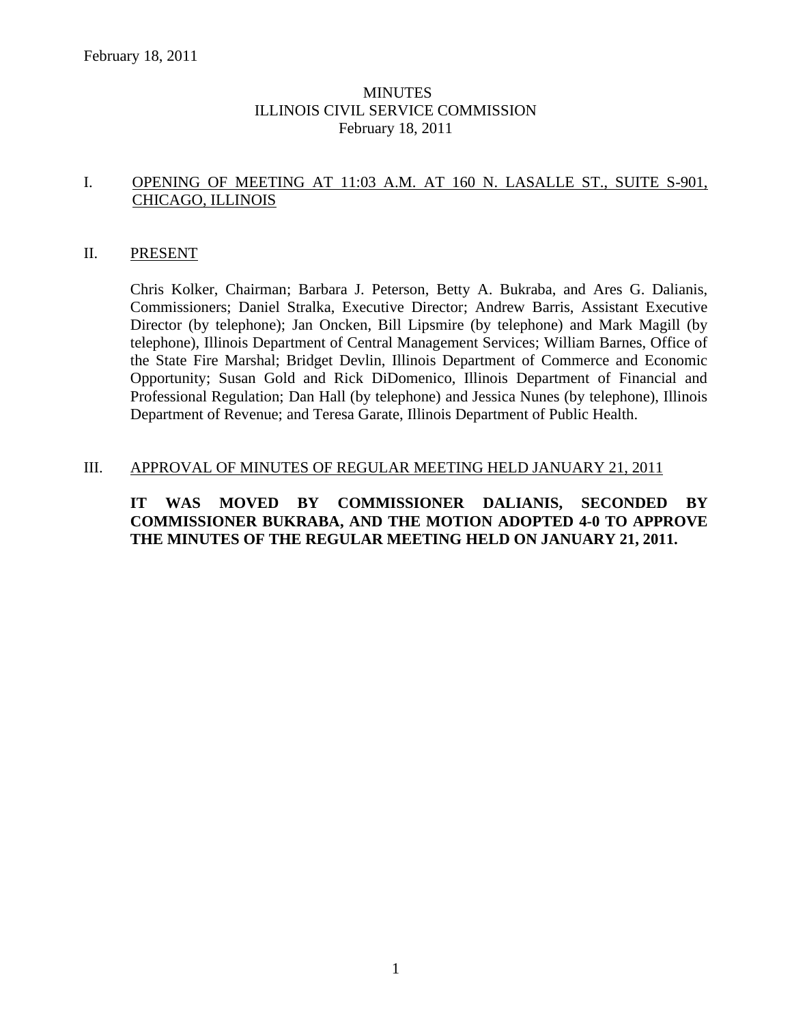# **MINUTES** ILLINOIS CIVIL SERVICE COMMISSION February 18, 2011

# I. OPENING OF MEETING AT 11:03 A.M. AT 160 N. LASALLE ST., SUITE S-901, CHICAGO, ILLINOIS

# II. PRESENT

Chris Kolker, Chairman; Barbara J. Peterson, Betty A. Bukraba, and Ares G. Dalianis, Commissioners; Daniel Stralka, Executive Director; Andrew Barris, Assistant Executive Director (by telephone); Jan Oncken, Bill Lipsmire (by telephone) and Mark Magill (by telephone), Illinois Department of Central Management Services; William Barnes, Office of the State Fire Marshal; Bridget Devlin, Illinois Department of Commerce and Economic Opportunity; Susan Gold and Rick DiDomenico, Illinois Department of Financial and Professional Regulation; Dan Hall (by telephone) and Jessica Nunes (by telephone), Illinois Department of Revenue; and Teresa Garate, Illinois Department of Public Health.

## III. APPROVAL OF MINUTES OF REGULAR MEETING HELD JANUARY 21, 2011

# **IT WAS MOVED BY COMMISSIONER DALIANIS, SECONDED BY COMMISSIONER BUKRABA, AND THE MOTION ADOPTED 4-0 TO APPROVE THE MINUTES OF THE REGULAR MEETING HELD ON JANUARY 21, 2011.**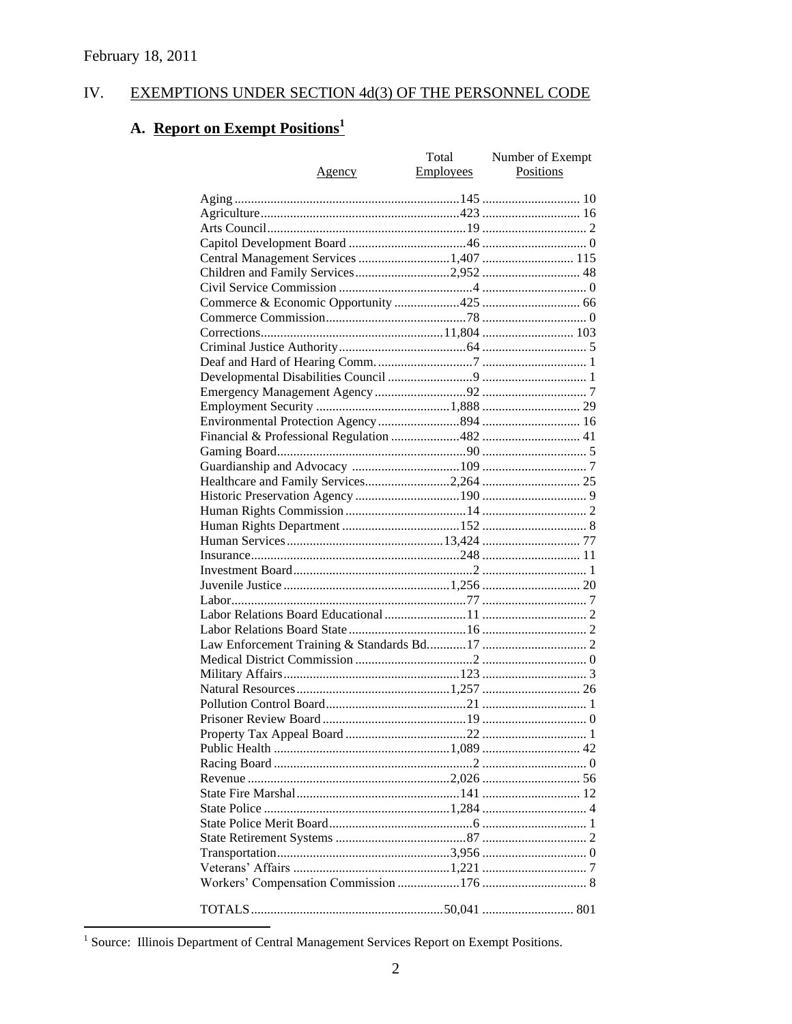#### IV. EXEMPTIONS UNDER SECTION 4d(3) OF THE PERSONNEL CODE

# A. Report on Exempt Positions<sup>1</sup>

|                                        | Total            | Number of Exempt |
|----------------------------------------|------------------|------------------|
| <u>Agency</u>                          | <b>Employees</b> | Positions        |
|                                        |                  |                  |
|                                        |                  |                  |
|                                        |                  |                  |
|                                        |                  |                  |
| Central Management Services 1,407  115 |                  |                  |
| Children and Family Services2,952  48  |                  |                  |
|                                        |                  |                  |
|                                        |                  |                  |
|                                        |                  |                  |
|                                        |                  |                  |
|                                        |                  |                  |
|                                        |                  |                  |
|                                        |                  |                  |
|                                        |                  |                  |
|                                        |                  |                  |
|                                        |                  |                  |
|                                        |                  |                  |
|                                        |                  |                  |
|                                        |                  |                  |
|                                        |                  |                  |
|                                        |                  |                  |
|                                        |                  |                  |
|                                        |                  |                  |
|                                        |                  |                  |
|                                        |                  |                  |
|                                        |                  |                  |
|                                        |                  |                  |
|                                        |                  |                  |
|                                        |                  |                  |
|                                        |                  |                  |
|                                        |                  |                  |
|                                        |                  |                  |
|                                        |                  |                  |
|                                        |                  |                  |
|                                        |                  |                  |
|                                        |                  |                  |
|                                        |                  |                  |
|                                        |                  |                  |
|                                        |                  |                  |
|                                        |                  |                  |
|                                        |                  |                  |
|                                        |                  |                  |
|                                        |                  |                  |
|                                        |                  |                  |
|                                        |                  |                  |
|                                        |                  |                  |
|                                        |                  |                  |
|                                        |                  |                  |
|                                        |                  |                  |

<sup>&</sup>lt;sup>1</sup> Source: Illinois Department of Central Management Services Report on Exempt Positions.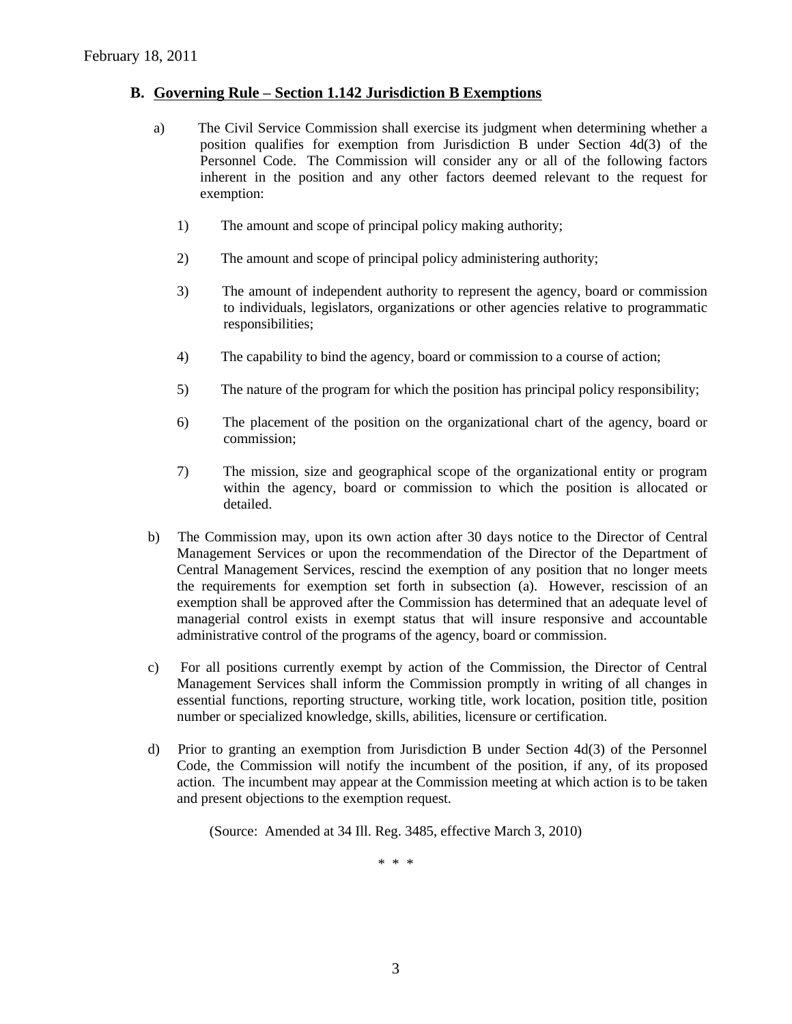# **B. Governing Rule – Section 1.142 Jurisdiction B Exemptions**

- a) The Civil Service Commission shall exercise its judgment when determining whether a position qualifies for exemption from Jurisdiction B under Section 4d(3) of the Personnel Code. The Commission will consider any or all of the following factors inherent in the position and any other factors deemed relevant to the request for exemption:
	- 1) The amount and scope of principal policy making authority;
	- 2) The amount and scope of principal policy administering authority;
	- 3) The amount of independent authority to represent the agency, board or commission to individuals, legislators, organizations or other agencies relative to programmatic responsibilities;
	- 4) The capability to bind the agency, board or commission to a course of action;
	- 5) The nature of the program for which the position has principal policy responsibility;
	- 6) The placement of the position on the organizational chart of the agency, board or commission;
	- 7) The mission, size and geographical scope of the organizational entity or program within the agency, board or commission to which the position is allocated or detailed.
- b) The Commission may, upon its own action after 30 days notice to the Director of Central Management Services or upon the recommendation of the Director of the Department of Central Management Services, rescind the exemption of any position that no longer meets the requirements for exemption set forth in subsection (a). However, rescission of an exemption shall be approved after the Commission has determined that an adequate level of managerial control exists in exempt status that will insure responsive and accountable administrative control of the programs of the agency, board or commission.
- c) For all positions currently exempt by action of the Commission, the Director of Central Management Services shall inform the Commission promptly in writing of all changes in essential functions, reporting structure, working title, work location, position title, position number or specialized knowledge, skills, abilities, licensure or certification.
- d) Prior to granting an exemption from Jurisdiction B under Section 4d(3) of the Personnel Code, the Commission will notify the incumbent of the position, if any, of its proposed action. The incumbent may appear at the Commission meeting at which action is to be taken and present objections to the exemption request.

(Source: Amended at 34 Ill. Reg. 3485, effective March 3, 2010)

\* \* \*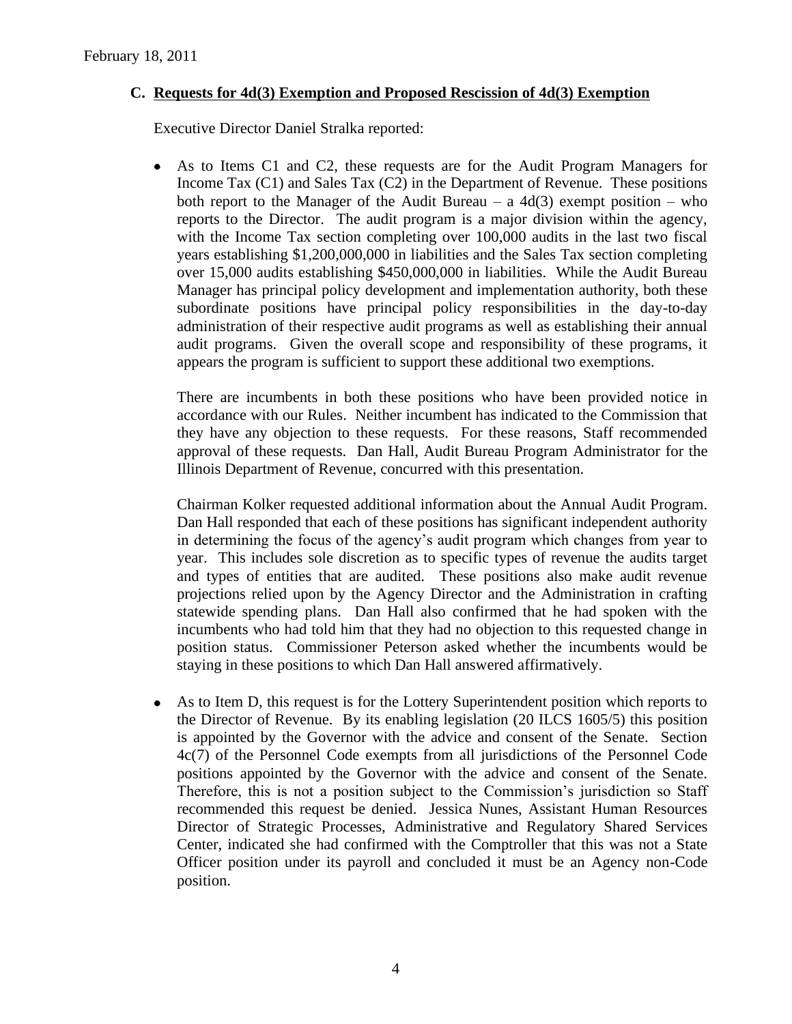# **C. Requests for 4d(3) Exemption and Proposed Rescission of 4d(3) Exemption**

Executive Director Daniel Stralka reported:

 $\bullet$ As to Items C1 and C2, these requests are for the Audit Program Managers for Income Tax (C1) and Sales Tax (C2) in the Department of Revenue. These positions both report to the Manager of the Audit Bureau – a  $4d(3)$  exempt position – who reports to the Director. The audit program is a major division within the agency, with the Income Tax section completing over 100,000 audits in the last two fiscal years establishing \$1,200,000,000 in liabilities and the Sales Tax section completing over 15,000 audits establishing \$450,000,000 in liabilities. While the Audit Bureau Manager has principal policy development and implementation authority, both these subordinate positions have principal policy responsibilities in the day-to-day administration of their respective audit programs as well as establishing their annual audit programs. Given the overall scope and responsibility of these programs, it appears the program is sufficient to support these additional two exemptions.

There are incumbents in both these positions who have been provided notice in accordance with our Rules. Neither incumbent has indicated to the Commission that they have any objection to these requests. For these reasons, Staff recommended approval of these requests. Dan Hall, Audit Bureau Program Administrator for the Illinois Department of Revenue, concurred with this presentation.

Chairman Kolker requested additional information about the Annual Audit Program. Dan Hall responded that each of these positions has significant independent authority in determining the focus of the agency's audit program which changes from year to year. This includes sole discretion as to specific types of revenue the audits target and types of entities that are audited. These positions also make audit revenue projections relied upon by the Agency Director and the Administration in crafting statewide spending plans. Dan Hall also confirmed that he had spoken with the incumbents who had told him that they had no objection to this requested change in position status. Commissioner Peterson asked whether the incumbents would be staying in these positions to which Dan Hall answered affirmatively.

As to Item D, this request is for the Lottery Superintendent position which reports to  $\bullet$ the Director of Revenue. By its enabling legislation (20 ILCS 1605/5) this position is appointed by the Governor with the advice and consent of the Senate. Section 4c(7) of the Personnel Code exempts from all jurisdictions of the Personnel Code positions appointed by the Governor with the advice and consent of the Senate. Therefore, this is not a position subject to the Commission's jurisdiction so Staff recommended this request be denied. Jessica Nunes, Assistant Human Resources Director of Strategic Processes, Administrative and Regulatory Shared Services Center, indicated she had confirmed with the Comptroller that this was not a State Officer position under its payroll and concluded it must be an Agency non-Code position.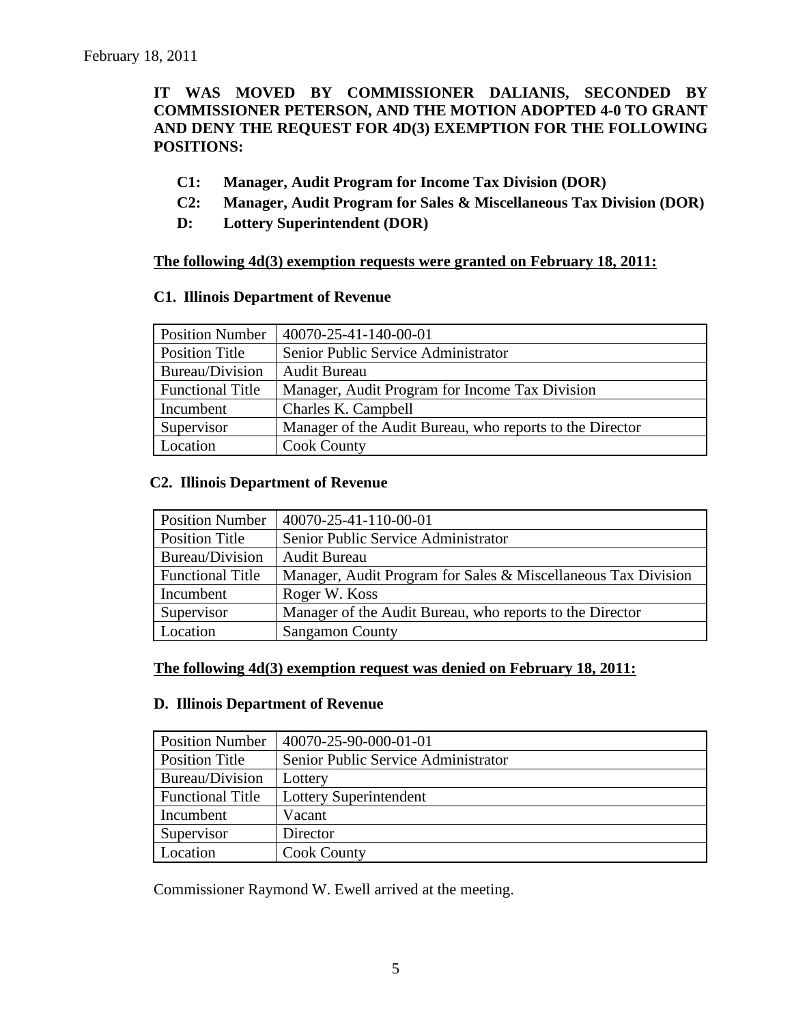# **IT WAS MOVED BY COMMISSIONER DALIANIS, SECONDED BY COMMISSIONER PETERSON, AND THE MOTION ADOPTED 4-0 TO GRANT AND DENY THE REQUEST FOR 4D(3) EXEMPTION FOR THE FOLLOWING POSITIONS:**

- **C1: Manager, Audit Program for Income Tax Division (DOR)**
- **C2: Manager, Audit Program for Sales & Miscellaneous Tax Division (DOR)**
- **D: Lottery Superintendent (DOR)**

# **The following 4d(3) exemption requests were granted on February 18, 2011:**

## **C1. Illinois Department of Revenue**

| <b>Position Number</b>  | 40070-25-41-140-00-01                                    |
|-------------------------|----------------------------------------------------------|
| Position Title          | Senior Public Service Administrator                      |
| Bureau/Division         | <b>Audit Bureau</b>                                      |
| <b>Functional Title</b> | Manager, Audit Program for Income Tax Division           |
| Incumbent               | Charles K. Campbell                                      |
| Supervisor              | Manager of the Audit Bureau, who reports to the Director |
| Location                | <b>Cook County</b>                                       |

# **C2. Illinois Department of Revenue**

| <b>Position Number</b>  | 40070-25-41-110-00-01                                         |
|-------------------------|---------------------------------------------------------------|
| Position Title          | Senior Public Service Administrator                           |
| Bureau/Division         | <b>Audit Bureau</b>                                           |
| <b>Functional Title</b> | Manager, Audit Program for Sales & Miscellaneous Tax Division |
| Incumbent               | Roger W. Koss                                                 |
| Supervisor              | Manager of the Audit Bureau, who reports to the Director      |
| Location                | <b>Sangamon County</b>                                        |

# **The following 4d(3) exemption request was denied on February 18, 2011:**

#### **D. Illinois Department of Revenue**

| <b>Position Number</b>  | 40070-25-90-000-01-01               |
|-------------------------|-------------------------------------|
| Position Title          | Senior Public Service Administrator |
| Bureau/Division         | Lottery                             |
| <b>Functional Title</b> | Lottery Superintendent              |
| Incumbent               | Vacant                              |
| Supervisor              | Director                            |
| Location                | <b>Cook County</b>                  |

Commissioner Raymond W. Ewell arrived at the meeting.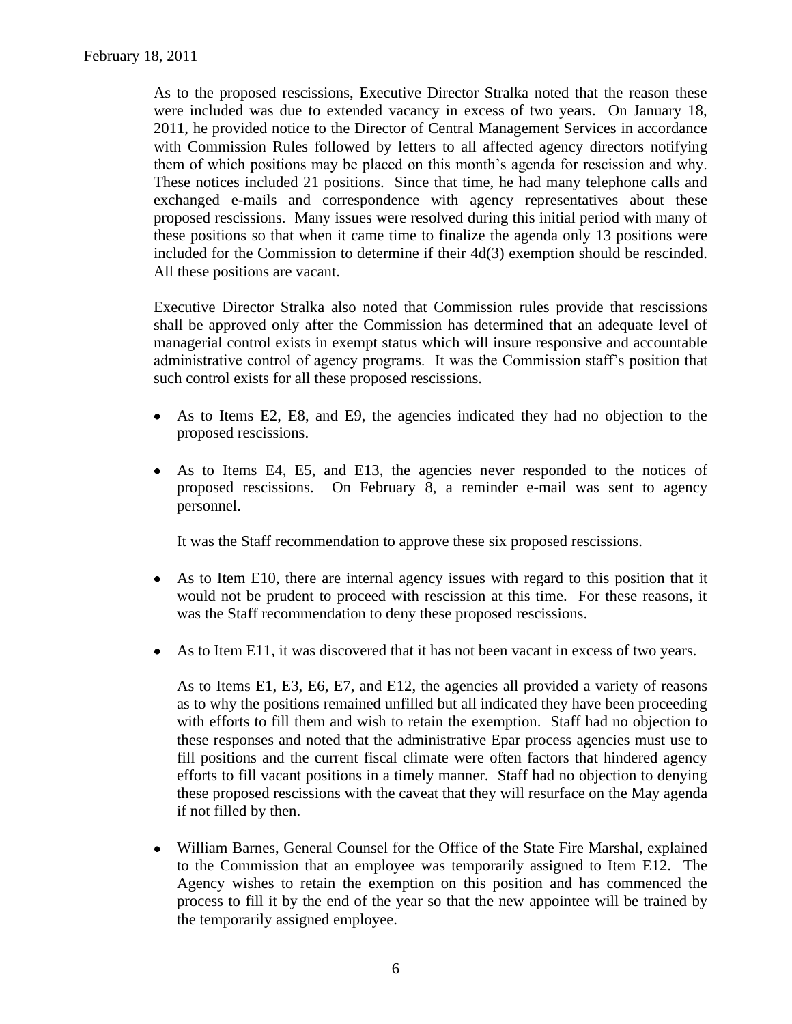As to the proposed rescissions, Executive Director Stralka noted that the reason these were included was due to extended vacancy in excess of two years. On January 18, 2011, he provided notice to the Director of Central Management Services in accordance with Commission Rules followed by letters to all affected agency directors notifying them of which positions may be placed on this month's agenda for rescission and why. These notices included 21 positions. Since that time, he had many telephone calls and exchanged e-mails and correspondence with agency representatives about these proposed rescissions. Many issues were resolved during this initial period with many of these positions so that when it came time to finalize the agenda only 13 positions were included for the Commission to determine if their 4d(3) exemption should be rescinded. All these positions are vacant.

Executive Director Stralka also noted that Commission rules provide that rescissions shall be approved only after the Commission has determined that an adequate level of managerial control exists in exempt status which will insure responsive and accountable administrative control of agency programs. It was the Commission staff's position that such control exists for all these proposed rescissions.

- As to Items E2, E8, and E9, the agencies indicated they had no objection to the  $\bullet$ proposed rescissions.
- As to Items E4, E5, and E13, the agencies never responded to the notices of  $\bullet$ proposed rescissions. On February 8, a reminder e-mail was sent to agency personnel.

It was the Staff recommendation to approve these six proposed rescissions.

- As to Item E10, there are internal agency issues with regard to this position that it  $\bullet$ would not be prudent to proceed with rescission at this time. For these reasons, it was the Staff recommendation to deny these proposed rescissions.
- As to Item E11, it was discovered that it has not been vacant in excess of two years.  $\bullet$

As to Items E1, E3, E6, E7, and E12, the agencies all provided a variety of reasons as to why the positions remained unfilled but all indicated they have been proceeding with efforts to fill them and wish to retain the exemption. Staff had no objection to these responses and noted that the administrative Epar process agencies must use to fill positions and the current fiscal climate were often factors that hindered agency efforts to fill vacant positions in a timely manner. Staff had no objection to denying these proposed rescissions with the caveat that they will resurface on the May agenda if not filled by then.

William Barnes, General Counsel for the Office of the State Fire Marshal, explained  $\bullet$ to the Commission that an employee was temporarily assigned to Item E12. The Agency wishes to retain the exemption on this position and has commenced the process to fill it by the end of the year so that the new appointee will be trained by the temporarily assigned employee.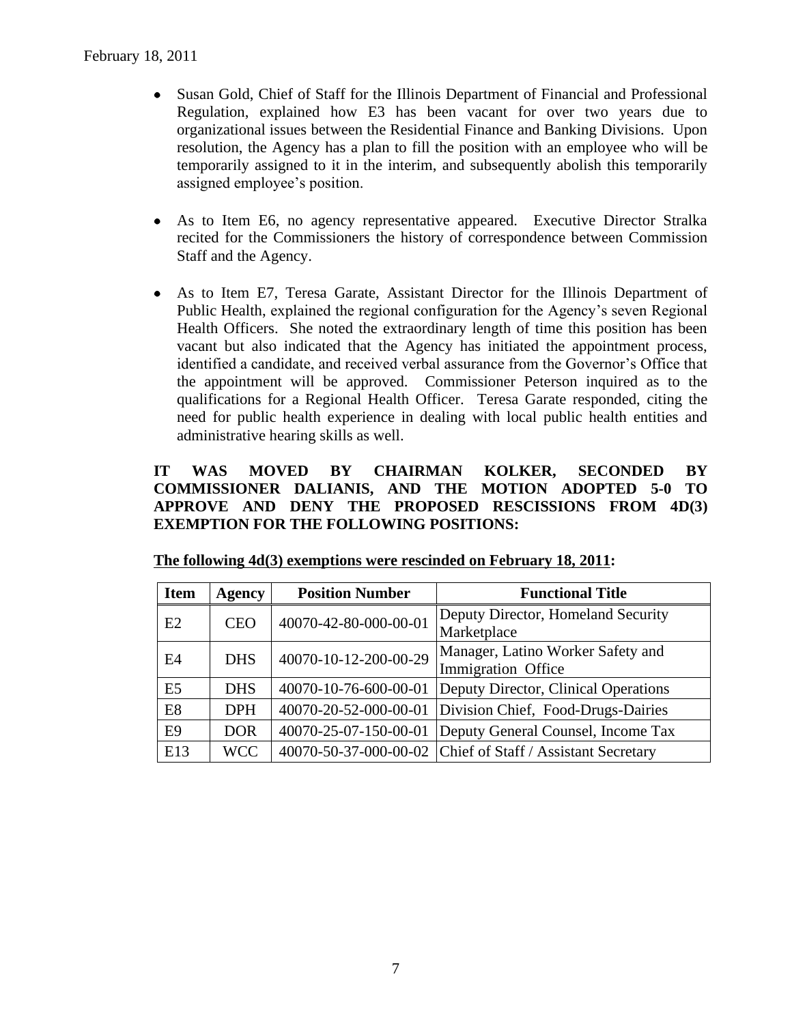- Susan Gold, Chief of Staff for the Illinois Department of Financial and Professional  $\bullet$ Regulation, explained how E3 has been vacant for over two years due to organizational issues between the Residential Finance and Banking Divisions. Upon resolution, the Agency has a plan to fill the position with an employee who will be temporarily assigned to it in the interim, and subsequently abolish this temporarily assigned employee's position.
- As to Item E6, no agency representative appeared. Executive Director Stralka  $\bullet$ recited for the Commissioners the history of correspondence between Commission Staff and the Agency.
- As to Item E7, Teresa Garate, Assistant Director for the Illinois Department of  $\bullet$ Public Health, explained the regional configuration for the Agency's seven Regional Health Officers. She noted the extraordinary length of time this position has been vacant but also indicated that the Agency has initiated the appointment process, identified a candidate, and received verbal assurance from the Governor's Office that the appointment will be approved. Commissioner Peterson inquired as to the qualifications for a Regional Health Officer. Teresa Garate responded, citing the need for public health experience in dealing with local public health entities and administrative hearing skills as well.

# **IT WAS MOVED BY CHAIRMAN KOLKER, SECONDED BY COMMISSIONER DALIANIS, AND THE MOTION ADOPTED 5-0 TO APPROVE AND DENY THE PROPOSED RESCISSIONS FROM 4D(3) EXEMPTION FOR THE FOLLOWING POSITIONS:**

| <b>Item</b>    | <b>Agency</b> | <b>Position Number</b> | <b>Functional Title</b>                                    |
|----------------|---------------|------------------------|------------------------------------------------------------|
| E2             | <b>CEO</b>    | 40070-42-80-000-00-01  | Deputy Director, Homeland Security                         |
|                |               |                        | Marketplace                                                |
| E4             | <b>DHS</b>    | 40070-10-12-200-00-29  | Manager, Latino Worker Safety and                          |
|                |               |                        | Immigration Office                                         |
| E <sub>5</sub> | <b>DHS</b>    | 40070-10-76-600-00-01  | Deputy Director, Clinical Operations                       |
| E <sub>8</sub> | <b>DPH</b>    | 40070-20-52-000-00-01  | Division Chief, Food-Drugs-Dairies                         |
| E <sub>9</sub> | <b>DOR</b>    | 40070-25-07-150-00-01  | Deputy General Counsel, Income Tax                         |
| E13            | <b>WCC</b>    |                        | 40070-50-37-000-00-02 Chief of Staff / Assistant Secretary |

|  | The following $4d(3)$ exemptions were rescinded on February 18, 2011: |  |  |
|--|-----------------------------------------------------------------------|--|--|
|  |                                                                       |  |  |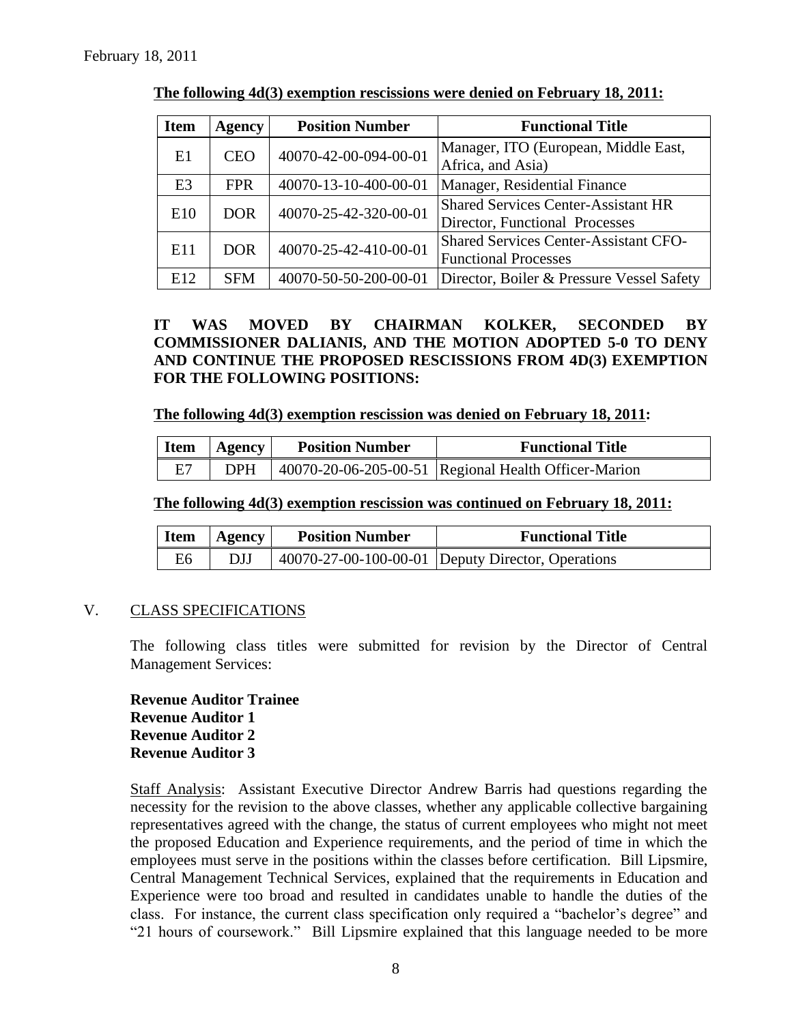| <b>Item</b>     | <b>Agency</b> | <b>Position Number</b> | <b>Functional Title</b>                      |  |
|-----------------|---------------|------------------------|----------------------------------------------|--|
| E1              | <b>CEO</b>    | 40070-42-00-094-00-01  | Manager, ITO (European, Middle East,         |  |
|                 |               |                        | Africa, and Asia)                            |  |
| E <sub>3</sub>  | <b>FPR</b>    | 40070-13-10-400-00-01  | Manager, Residential Finance                 |  |
| E <sub>10</sub> | <b>DOR</b>    | 40070-25-42-320-00-01  | <b>Shared Services Center-Assistant HR</b>   |  |
|                 |               |                        | Director, Functional Processes               |  |
| E <sub>11</sub> | <b>DOR</b>    | 40070-25-42-410-00-01  | <b>Shared Services Center-Assistant CFO-</b> |  |
|                 |               |                        | <b>Functional Processes</b>                  |  |
| E12             | <b>SFM</b>    | 40070-50-50-200-00-01  | Director, Boiler & Pressure Vessel Safety    |  |

**The following 4d(3) exemption rescissions were denied on February 18, 2011:**

**IT WAS MOVED BY CHAIRMAN KOLKER, SECONDED BY COMMISSIONER DALIANIS, AND THE MOTION ADOPTED 5-0 TO DENY AND CONTINUE THE PROPOSED RESCISSIONS FROM 4D(3) EXEMPTION FOR THE FOLLOWING POSITIONS:**

**The following 4d(3) exemption rescission was denied on February 18, 2011:**

| <b>Item</b> | Agency     | <b>Position Number</b> | <b>Functional Title</b>                              |
|-------------|------------|------------------------|------------------------------------------------------|
| E7          | <b>DPH</b> |                        | 40070-20-06-205-00-51 Regional Health Officer-Marion |

#### **The following 4d(3) exemption rescission was continued on February 18, 2011:**

| <b>Item</b> | Agency | <b>Position Number</b> | <b>Functional Title</b>                           |
|-------------|--------|------------------------|---------------------------------------------------|
| E6          | DJJ    |                        | 40070-27-00-100-00-01 Deputy Director, Operations |

# V. CLASS SPECIFICATIONS

The following class titles were submitted for revision by the Director of Central Management Services:

**Revenue Auditor Trainee Revenue Auditor 1 Revenue Auditor 2 Revenue Auditor 3**

Staff Analysis: Assistant Executive Director Andrew Barris had questions regarding the necessity for the revision to the above classes, whether any applicable collective bargaining representatives agreed with the change, the status of current employees who might not meet the proposed Education and Experience requirements, and the period of time in which the employees must serve in the positions within the classes before certification. Bill Lipsmire, Central Management Technical Services, explained that the requirements in Education and Experience were too broad and resulted in candidates unable to handle the duties of the class. For instance, the current class specification only required a "bachelor's degree" and "21 hours of coursework." Bill Lipsmire explained that this language needed to be more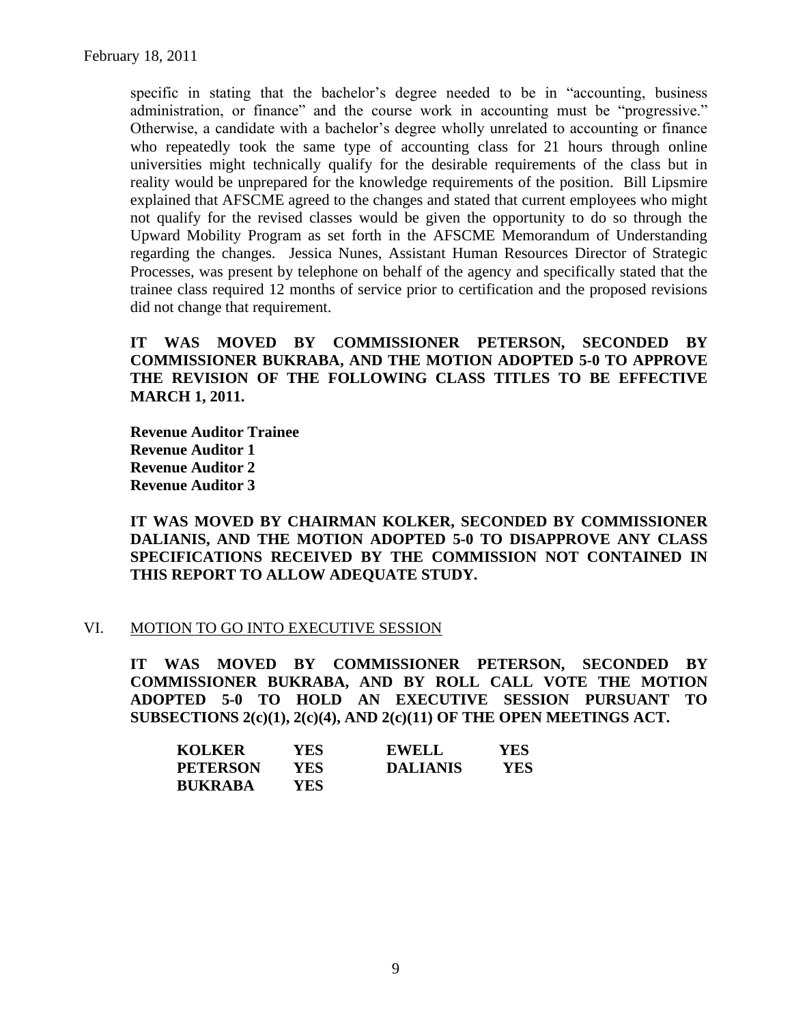specific in stating that the bachelor's degree needed to be in "accounting, business administration, or finance" and the course work in accounting must be "progressive." Otherwise, a candidate with a bachelor's degree wholly unrelated to accounting or finance who repeatedly took the same type of accounting class for 21 hours through online universities might technically qualify for the desirable requirements of the class but in reality would be unprepared for the knowledge requirements of the position. Bill Lipsmire explained that AFSCME agreed to the changes and stated that current employees who might not qualify for the revised classes would be given the opportunity to do so through the Upward Mobility Program as set forth in the AFSCME Memorandum of Understanding regarding the changes. Jessica Nunes, Assistant Human Resources Director of Strategic Processes, was present by telephone on behalf of the agency and specifically stated that the trainee class required 12 months of service prior to certification and the proposed revisions did not change that requirement.

**IT WAS MOVED BY COMMISSIONER PETERSON, SECONDED BY COMMISSIONER BUKRABA, AND THE MOTION ADOPTED 5-0 TO APPROVE THE REVISION OF THE FOLLOWING CLASS TITLES TO BE EFFECTIVE MARCH 1, 2011.**

**Revenue Auditor Trainee Revenue Auditor 1 Revenue Auditor 2 Revenue Auditor 3**

**IT WAS MOVED BY CHAIRMAN KOLKER, SECONDED BY COMMISSIONER DALIANIS, AND THE MOTION ADOPTED 5-0 TO DISAPPROVE ANY CLASS SPECIFICATIONS RECEIVED BY THE COMMISSION NOT CONTAINED IN THIS REPORT TO ALLOW ADEQUATE STUDY.** 

# VI. MOTION TO GO INTO EXECUTIVE SESSION

**IT WAS MOVED BY COMMISSIONER PETERSON, SECONDED BY COMMISSIONER BUKRABA, AND BY ROLL CALL VOTE THE MOTION ADOPTED 5-0 TO HOLD AN EXECUTIVE SESSION PURSUANT TO SUBSECTIONS 2(c)(1), 2(c)(4), AND 2(c)(11) OF THE OPEN MEETINGS ACT.** 

| <b>KOLKER</b>   | YES  | <b>EWELL</b>    | YES |
|-----------------|------|-----------------|-----|
| <b>PETERSON</b> | YES  | <b>DALIANIS</b> | YES |
| <b>BUKRABA</b>  | YES. |                 |     |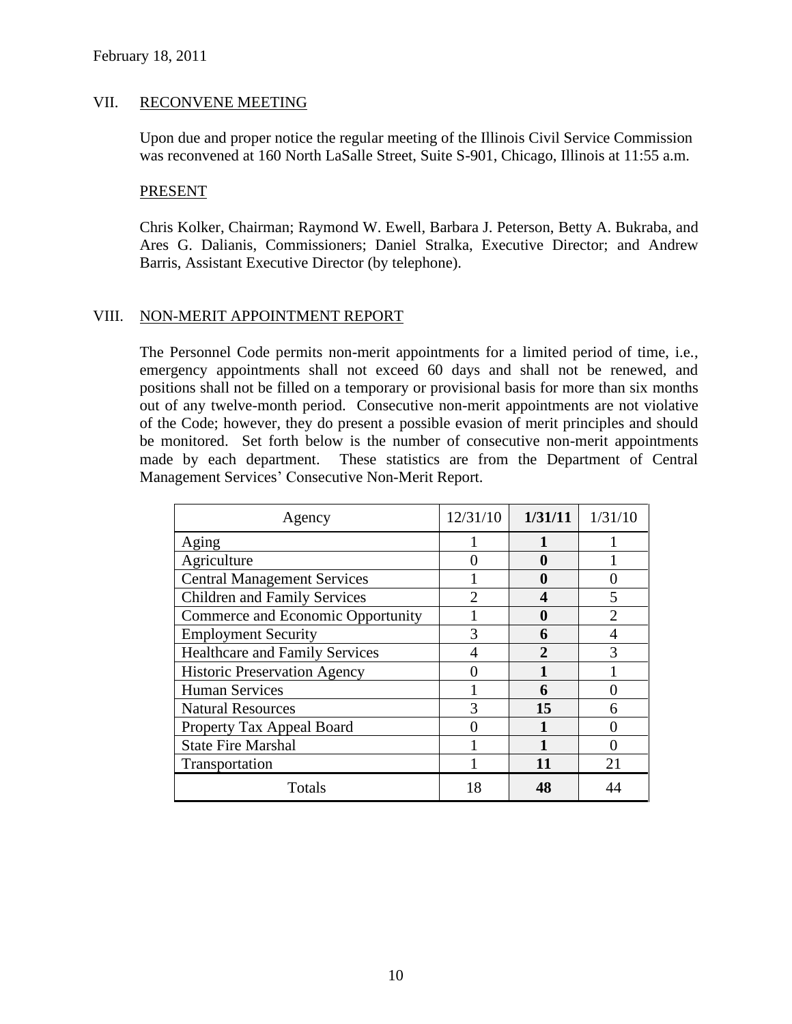## VII. RECONVENE MEETING

Upon due and proper notice the regular meeting of the Illinois Civil Service Commission was reconvened at 160 North LaSalle Street, Suite S-901, Chicago, Illinois at 11:55 a.m.

#### PRESENT

Chris Kolker, Chairman; Raymond W. Ewell, Barbara J. Peterson, Betty A. Bukraba, and Ares G. Dalianis, Commissioners; Daniel Stralka, Executive Director; and Andrew Barris, Assistant Executive Director (by telephone).

# VIII. NON-MERIT APPOINTMENT REPORT

The Personnel Code permits non-merit appointments for a limited period of time, i.e., emergency appointments shall not exceed 60 days and shall not be renewed, and positions shall not be filled on a temporary or provisional basis for more than six months out of any twelve-month period. Consecutive non-merit appointments are not violative of the Code; however, they do present a possible evasion of merit principles and should be monitored. Set forth below is the number of consecutive non-merit appointments made by each department. These statistics are from the Department of Central Management Services' Consecutive Non-Merit Report.

| Agency                                | 12/31/10 | 1/31/11 | 1/31/10 |
|---------------------------------------|----------|---------|---------|
| Aging                                 |          |         |         |
| Agriculture                           |          | 0       |         |
| <b>Central Management Services</b>    |          | 0       |         |
| <b>Children and Family Services</b>   |          |         |         |
| Commerce and Economic Opportunity     |          | 0       |         |
| <b>Employment Security</b>            |          | 6       |         |
| <b>Healthcare and Family Services</b> |          |         |         |
| <b>Historic Preservation Agency</b>   |          |         |         |
| <b>Human Services</b>                 |          | 6       |         |
| <b>Natural Resources</b>              |          | 15      |         |
| Property Tax Appeal Board             |          |         |         |
| <b>State Fire Marshal</b>             |          |         |         |
| Transportation                        |          | 11      | 21      |
| Totals                                | 18       | 48      |         |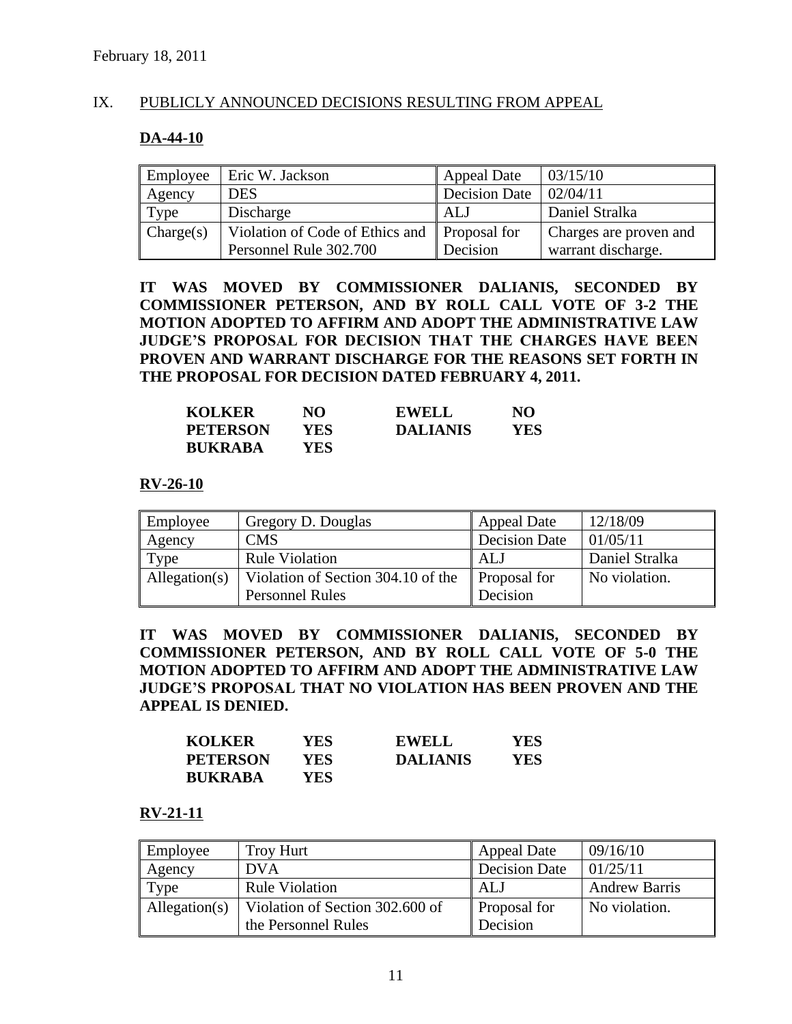# IX. PUBLICLY ANNOUNCED DECISIONS RESULTING FROM APPEAL

# **DA-44-10**

| Employee  | Eric W. Jackson                              | Appeal Date   | 03/15/10               |
|-----------|----------------------------------------------|---------------|------------------------|
| Agency    | <b>DES</b>                                   | Decision Date | 02/04/11               |
| Type      | Discharge                                    | l ALJ         | Daniel Stralka         |
| Change(s) | Violation of Code of Ethics and Proposal for |               | Charges are proven and |
|           | Personnel Rule 302.700                       | Decision      | warrant discharge.     |

**IT WAS MOVED BY COMMISSIONER DALIANIS, SECONDED BY COMMISSIONER PETERSON, AND BY ROLL CALL VOTE OF 3-2 THE MOTION ADOPTED TO AFFIRM AND ADOPT THE ADMINISTRATIVE LAW JUDGE'S PROPOSAL FOR DECISION THAT THE CHARGES HAVE BEEN PROVEN AND WARRANT DISCHARGE FOR THE REASONS SET FORTH IN THE PROPOSAL FOR DECISION DATED FEBRUARY 4, 2011.** 

| <b>KOLKER</b>   | NО   | <b>EWELL</b>    | NO  |
|-----------------|------|-----------------|-----|
| <b>PETERSON</b> | YES. | <b>DALIANIS</b> | YES |
| <b>BUKRABA</b>  | YES. |                 |     |

## **RV-26-10**

| Employee      | Gregory D. Douglas                 | Appeal Date   | 12/18/09       |
|---------------|------------------------------------|---------------|----------------|
| Agency        | CMS                                | Decision Date | 01/05/11       |
| Type          | <b>Rule Violation</b>              | ALJ           | Daniel Stralka |
| Allegation(s) | Violation of Section 304.10 of the | Proposal for  | No violation.  |
|               | <b>Personnel Rules</b>             | Decision      |                |

**IT WAS MOVED BY COMMISSIONER DALIANIS, SECONDED BY COMMISSIONER PETERSON, AND BY ROLL CALL VOTE OF 5-0 THE MOTION ADOPTED TO AFFIRM AND ADOPT THE ADMINISTRATIVE LAW JUDGE'S PROPOSAL THAT NO VIOLATION HAS BEEN PROVEN AND THE APPEAL IS DENIED.** 

| <b>KOLKER</b>   | YES  | <b>EWELL</b>    | YES |
|-----------------|------|-----------------|-----|
| <b>PETERSON</b> | YES. | <b>DALIANIS</b> | YES |
| <b>BUKRABA</b>  | YES. |                 |     |

#### **RV-21-11**

| Employee      | <b>Troy Hurt</b>                | <b>Appeal Date</b> | 09/16/10             |
|---------------|---------------------------------|--------------------|----------------------|
| Agency        | <b>DVA</b>                      | Decision Date      | 01/25/11             |
| Type          | <b>Rule Violation</b>           | ALJ                | <b>Andrew Barris</b> |
| Allegation(s) | Violation of Section 302.600 of | Proposal for       | No violation.        |
|               | the Personnel Rules             | Decision           |                      |